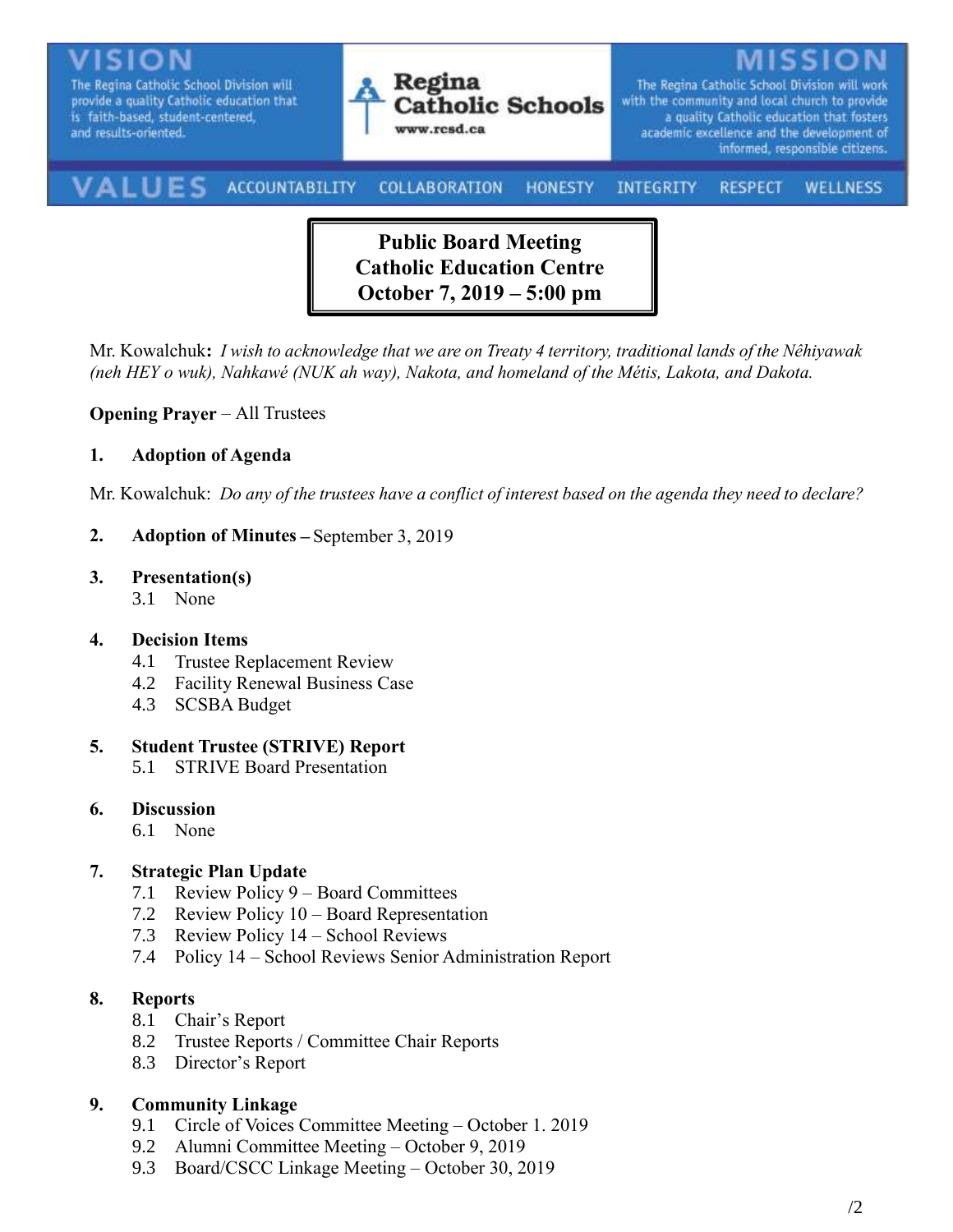

**Public Board Meeting Catholic Education Centre October 7, 2019 – 5:00 pm**

Mr. Kowalchuk**:** *I wish to acknowledge that we are on Treaty 4 territory, traditional lands of the Nêhiyawak (neh HEY o wuk), Nahkawé (NUK ah way), Nakota, and homeland of the Métis, Lakota, and Dakota.*

#### **Opening Prayer** – All Trustees

#### **1. Adoption of Agenda**

Mr. Kowalchuk: *Do any of the trustees have a conflict of interest based on the agenda they need to declare?*

**2. Adoption of Minutes –** September 3, 2019

#### **3. Presentation(s)**

3.1 None

## **4. Decision Items**

- 4.1 Trustee Replacement Review
- 4.2 Facility Renewal Business Case
- 4.3 SCSBA Budget

#### **5. Student Trustee (STRIVE) Report**

5.1 STRIVE Board Presentation

#### **6. Discussion**

6.1 None

## **7. Strategic Plan Update**

- 7.1 Review Policy 9 Board Committees
- 7.2 Review Policy 10 Board Representation
- 7.3 Review Policy 14 School Reviews
- 7.4 Policy 14 School Reviews Senior Administration Report

## **8. Reports**

- 8.1 Chair's Report
- 8.2 Trustee Reports / Committee Chair Reports
- 8.3 Director's Report

## **9. Community Linkage**

- 9.1 Circle of Voices Committee Meeting October 1. 2019
- 9.2 Alumni Committee Meeting October 9, 2019
- 9.3 Board/CSCC Linkage Meeting October 30, 2019